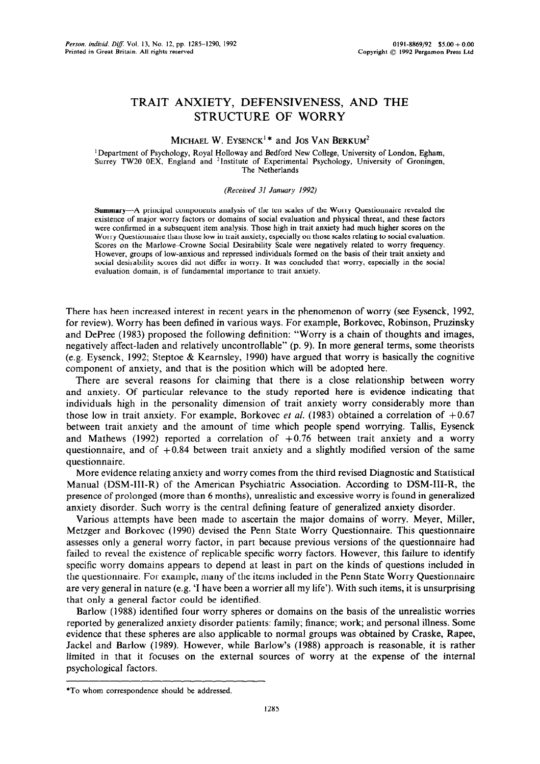# TRAIT ANXIETY, DEFENSIVENESS, AND THE STRUCTURE OF WORRY

## MICHAEL W. EYSENCK<sup>1\*</sup> and JOS VAN BERKUM<sup>2</sup>

' Department of Psychology, Royal Holloway and Bedford New College, University of London, Egham, Surrey TW20 OEX, England and 21nstitute of Experimental Psychology, University of Groningen, The Netherlands

## *(Received 31 January 1992)*

Summary-A principal components analysis of the ten scales of the Worry Questionnaire revealed the existence of major worry factors or domains of social evaluation and physical threat, and these factors were confirmed in a subsequent item analysis. Those high in trait anxiety had much higher scores on the Worry Questionnaire than those low in trait anxiety, especially on those scales relating to social evaluation. Scores on the Marlowe-Crowne Social Desirability Scale were negatively related to worry frequency. However, groups of low-anxious and repressed individuals formed on the basis of their trait anxiety and social desirability scores did not differ in worry. It was concluded that worry, especially in the social evaluation domain, is of fundamental importance to trait anxiety.

There has been increased interest in recent years in the phenomenon of worry (see Eysenck, 1992, for review). Worry has been defined in various ways. For example, Borkovec, Robinson, Pruzinsky and DePree (1983) proposed the following definition: "Worry is a chain of thoughts and images, negatively affect-laden and relatively uncontrollable" (p. 9). In more general terms, some theorists (e.g. Eysenck, 1992; Steptoe & Kearnsley, 1990) have argued that worry is basically the cognitive component of anxiety, and that is the position which will be adopted here.

There are several reasons for claiming that there is a close relationship between worry and anxiety. Of particular relevance to the study reported here is evidence indicating that individuals high in the personality dimension of trait anxiety worry considerably more than those low in trait anxiety. For example, Borkovec *et al.* (1983) obtained a correlation of +0.67 between trait anxiety and the amount of time which people spend worrying. Tallis, Eysenck and Mathews (1992) reported a correlation of  $+0.76$  between trait anxiety and a worry questionnaire, and of  $+0.84$  between trait anxiety and a slightly modified version of the same questionnaire.

More evidence relating anxiety and worry comes from the third revised Diagnostic and Statistical Manual (DSM-III-R) of the American Psychiatric Association. According to DSM-III-R, the presence of prolonged (more than 6 months), unrealistic and excessive worry is found in generalized anxiety disorder. Such worry is the central defining feature of generalized anxiety disorder.

Various attempts have been made to ascertain the major domains of worry. Meyer, Miller, Metzger and Borkovec (1990) devised the Penn State Worry Questionnaire. This questionnaire assesses only a general worry factor, in part because previous versions of the questionnaire had failed to reveal the existence of replicable specific worry factors. However, this failure to identify specific worry domains appears to depend at least in part on the kinds of questions included in the questionnaire. For example, many of the items included in the Penn State Worry Questionnaire are very general in nature (e.g. 'I have been a worrier all my life'). With such items, it is unsurprising that only a general factor could be identified.

Barlow (1988) identified four worry spheres or domains on the basis of the unrealistic worries reported by generalized anxiety disorder patients: family; finance; work; and personal illness. Some evidence that these spheres are also applicable to normal groups was obtained by Craske, Rapee, Jackel and Barlow (1989). However, while Barlow's (1988) approach is reasonable, it is rather limited in that it focuses on the external sources of worry at the expense of the internal psychological factors.

<sup>\*</sup>To whom correspondence should be addressed.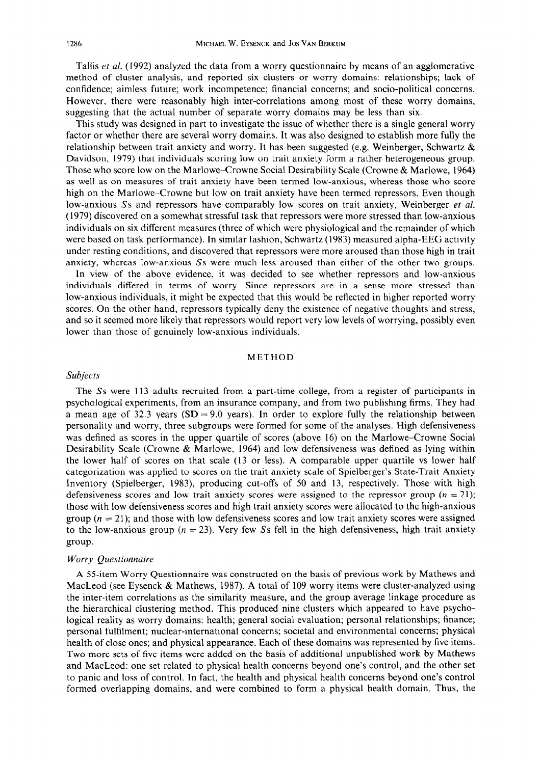Tallis *et al.* (1992) analyzed the data from a worry questionnaire by means of an agglomerative method of cluster analysis, and reported six clusters or worry domains: relationships; lack of confidence; aimless future; work incompetence; financial concerns; and socio-political concerns. However, there were reasonably high inter-correlations among most of these worry domains, suggesting that the actual number of separate worry domains may be less than six.

This study was designed in part to investigate the issue of whether there is a single general worry factor or whether there are several worry domains. It was also designed to establish more fully the relationship between trait anxiety and worry. It has been suggested (e.g. Weinberger, Schwartz  $\&$ Davidson, 1979) that individuals scoring low on trait anxiety form a rather heterogeneous group. Those who score low on the Marlowe-Crowne Social Desirability Scale (Crowne & Marlowe, 1964) as well as on measures of trait anxiety have been termed low-anxious, whereas those who score high on the Marlowe-Crowne but low on trait anxiety have been termed repressors. Even though low-anxious Ss and repressors have comparably low scores on trait anxiety, Weinberger *et al.* (1979) discovered on a somewhat stressful task that repressors were more stressed than low-anxious individuals on six different measures (three of which were physiological and the remainder of which were based on task performance). In similar fashion, Schwartz (1983) measured alpha-EEG activity under resting conditions, and discovered that repressors were more aroused than those high in trait anxiety, whereas low-anxious Ss were much less aroused than either of the other two groups.

In view of the above evidence, it was decided to see whether repressors and low-anxious individuals differed in terms of worry. Since repressors are in a sense more stressed than low-anxious individuals, it might be expected that this would be reflected in higher reported worry scores. On the other hand, repressors typically deny the existence of negative thoughts and stress, and so it seemed more likely that repressors would report very low levels of worrying, possibly even lower than those of genuinely low-anxious individuals.

#### METHOD

## *Subjects*

The Ss were 113 adults recruited from a part-time college, from a register of participants in psychological experiments, from an insurance company, and from two publishing firms. They had a mean age of 32.3 years  $(SD = 9.0$  years). In order to explore fully the relationship between personality and worry, three subgroups were formed for some of the analyses. High defensiveness was defined as scores in the upper quartile of scores (above 16) on the Marlowe-Crowne Social Desirability Scale (Crowne & Marlowe, 1964) and low defensiveness was defined as lying within the lower half of scores on that scale (13 or less). A comparable upper quartile vs lower half categorization was applied to scores on the trait anxiety scale of Spielberger's State-Trait Anxiety Inventory (Spielberger, 1983), producing cut-offs of 50 and 13, respectively. Those with high defensiveness scores and low trait anxiety scores were assigned to the repressor group  $(n = 21)$ ; those with low defensiveness scores and high trait anxiety scores were allocated to the high-anxious group ( $n = 21$ ); and those with low defensiveness scores and low trait anxiety scores were assigned to the low-anxious group ( $n = 23$ ). Very few Ss fell in the high defensiveness, high trait anxiety group.

## *Worry Questionnaire*

A 55-item Worry Questionnaire was constructed on the basis of previous work by Mathews and MacLeod (see Eysenck & Mathews, 1987). A total of 109 worry items were cluster-analyzed using the inter-item correlations as the similarity measure, and the group average linkage procedure as the hierarchical clustering method. This produced nine clusters which appeared to have psychological reality as worry domains: health; general social evaluation; personal relationships; finance; personal fulfilment; nuclear-international concerns; societal and environmental concerns; physical health of close ones; and physical appearance. Each of these domains was represented by five items. Two more sets of five items were added on the basis of additional unpublished work by Mathews and MacLeod: one set related to physical health concerns beyond one's control, and the other set to panic and loss of control. In fact, the health and physical health concerns beyond one's control formed overlapping domains, and were combined to form a physical health domain. Thus, the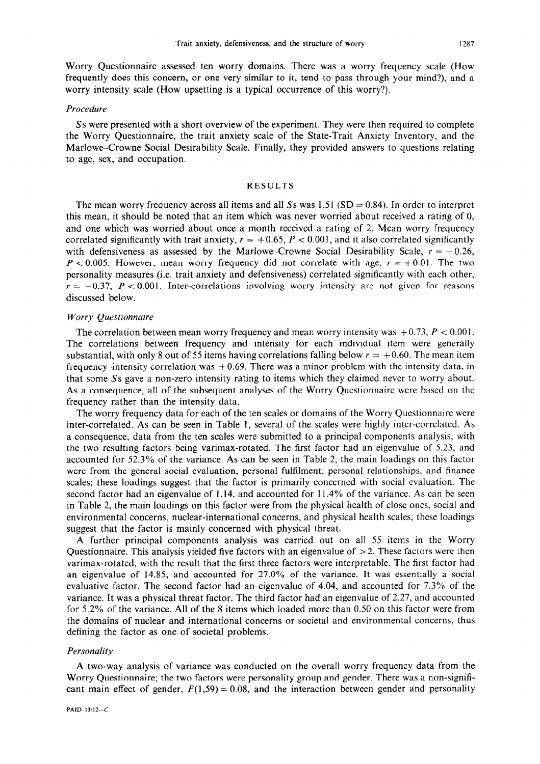Worry Questionnaire assessed ten worry domains. There was a worry frequency scale (How frequently does this concern, or one very similar to it, tend to pass through your mind?), and a worry intensity scale (How upsetting is a typical occurrence of this worry?).

#### *Procedure*

*Ss* were presented with a short overview of the experiment. They were then required to complete the Worry Questionnaire, the trait anxiety scale of the State-Trait Anxiety Inventory, and the Marlowe-Crowne Social Desirability Scale. Finally, they provided answers to questions relating to age, sex, and occupation.

## **RESULTS**

The mean worry frequency across all items and all Ss was  $1.51$  (SD = 0.84). In order to interpret this mean, it should be noted that an item which was never worried about received a rating of 0, and one which was worried about once a month received a rating of 2. Mean worry frequency correlated significantly with trait anxiety,  $r = +0.65$ ,  $P < 0.001$ , and it also correlated significantly with defensiveness as assessed by the Marlowe-Crowne Social Desirability Scale,  $r = -0.26$ ,  $P < 0.005$ . However, mean worry frequency did not correlate with age,  $r = +0.01$ . The two personality measures (i.e. trait anxiety and defensiveness) correlated significantly with each other,  $r = -0.37$ ,  $P < 0.001$ . Inter-correlations involving worry intensity are not given for reasons discussed below.

## *Worry Questionnaire*

The correlation between mean worry frequency and mean worry intensity was  $+0.73$ ,  $P < 0.001$ . The correlations between frequency and intensity for each individual item were generally substantial, with only 8 out of 55 items having correlations falling below  $r = +0.60$ . The mean item frequency–intensity correlation was  $+0.69$ . There was a minor problem with the intensity data, in that some Ss gave a non-zero intensity rating to items which they claimed never to worry about. As a consequence, all of the subsequent analyses of the Worry Questionnaire were based on the frequency rather than the intensity data.

The worry frequency data for each of the ten scales or domains of the Worry Questionnaire were inter-correlated. As can be seen in Table 1, several of the scales were highly inter-correlated. As a consequence, data from the ten scales were submitted to a principal components analysis, with the two resulting factors being varimax-rotated. The first factor had an eigenvalue of 5.23, and accounted for 52.3% of the variance. As can be seen in Table 2, the main loadings on this factor were from the general social evaluation, personal fulfilment, personal relationships, and finance scales; these loadings suggest that the factor is primarily concerned with social evaluation. The second factor had an eigenvalue of 1.14, and accounted for 11.4% of the variance. As can be seen in Table 2, the main loadings on this factor were from the physical health of close ones, social and environmental concerns, nuclear-international concerns, and physical health scales; these loadings suggest that the factor is mainly concerned with physical threat.

A further principal components analysis was carried out on all 55 items in the Worry Questionnaire. This analysis yielded five factors with an eigenvalue of  $>$  2. These factors were then varimax-rotated, with the result that the first three factors were interpretable. The first factor had an eigenvalue of 14.85, and accounted for 27.0% of the variance. It was essentially a social evaluative factor. The second factor had an eigenvalue of 4.04, and accounted for 7.3% of the variance. It was a physical threat factor. The third factor had an eigenvalue of 2.27, and accounted for 5.2% of the variance. All of the 8 items which loaded more than 0.50 on this factor were from the domains of nuclear and international concerns or societal and environmental concerns, thus defining the factor as one of societal problems.

#### *Personality*

A two-way analysis of variance was conducted on the overall worry frequency data from the Worry Questionnaire; the two factors were personality group and gender. There was a non-significant main effect of gender,  $F(1,59) = 0.08$ , and the interaction between gender and personality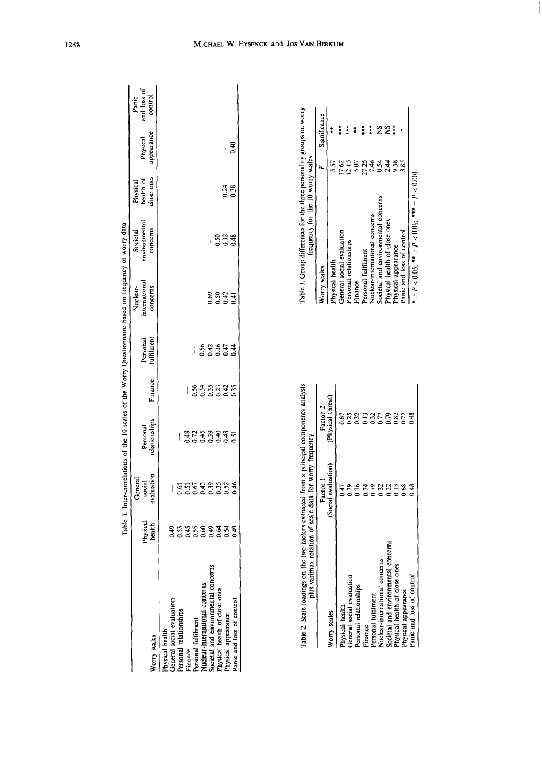|                                       | Table                                |                                 |                           |                 |                         | 1. Inter-correlations of the 10 scales of the Worry Questionnaire based on frequency of worry data |                                       |                                     |                        |                                 |
|---------------------------------------|--------------------------------------|---------------------------------|---------------------------|-----------------|-------------------------|----------------------------------------------------------------------------------------------------|---------------------------------------|-------------------------------------|------------------------|---------------------------------|
| Norry scales                          | Physical<br>health                   | evaluation<br>General<br>social | Personal<br>relationships | Finance         | Personal<br>fulfilment  | nternational<br>Nuclear-<br>concerns                                                               | environmental<br>concerns<br>Societal | Physical<br>health of<br>close ones | appearance<br>Physical | and loss of<br>control<br>Panic |
|                                       |                                      |                                 |                           |                 |                         |                                                                                                    |                                       |                                     |                        |                                 |
| hysical health                        |                                      |                                 |                           |                 |                         |                                                                                                    |                                       |                                     |                        |                                 |
| General social evaluation             |                                      |                                 |                           |                 |                         |                                                                                                    |                                       |                                     |                        |                                 |
|                                       |                                      |                                 | $\mathsf{I}$              |                 |                         |                                                                                                    |                                       |                                     |                        |                                 |
| Personal relationships<br>Finance     |                                      |                                 |                           | $\mathsf{I}$    |                         |                                                                                                    |                                       |                                     |                        |                                 |
| Personal fulfilment                   |                                      |                                 |                           |                 |                         |                                                                                                    |                                       |                                     |                        |                                 |
| <b>Vuclear-international concerns</b> |                                      |                                 |                           |                 |                         | $\overline{\mathsf{I}}$                                                                            |                                       |                                     |                        |                                 |
| Societal and environmental concerns   | a 53 53 53 53 6<br>S 5 6 5 6 6 6 6 6 | 55533334<br>5553353             | #2#####<br>900000000      | 838338<br>83833 | $\frac{833574}{533532}$ | 8847<br>889                                                                                        | ١                                     |                                     |                        |                                 |
| hysical health of close ones          |                                      |                                 |                           |                 |                         |                                                                                                    |                                       | $\mathsf{I}$                        |                        |                                 |
| Physical appearance                   |                                      |                                 |                           |                 |                         |                                                                                                    | 883<br>003                            | 0.24                                | ļ                      |                                 |
| anic and loss of control              |                                      |                                 |                           |                 |                         |                                                                                                    |                                       |                                     | 0.40                   |                                 |
|                                       |                                      |                                 |                           |                 |                         |                                                                                                    |                                       |                                     |                        |                                 |

| Table 2. Scale loadings on the two factors extracted from a principal components analysis | plus varimax rotation of scale data for worry frequency |          | Table 3. Group differences for the three j<br>frequency for the 10 w |
|-------------------------------------------------------------------------------------------|---------------------------------------------------------|----------|----------------------------------------------------------------------|
|                                                                                           | Factor 1                                                | Factor 2 | Vorry scales                                                         |
| Worry scales                                                                              | (Social evaluation) (Physical threat)                   |          | hysical health                                                       |
| Physical health                                                                           |                                                         |          | General social evaluation                                            |
| :<br>:<br>:                                                                               |                                                         | i        | Designed asked and the collation                                     |

|                                     | <b>NAMES AND DESCRIPTIONS</b> CONTROLS ON MANAGEMENT CONTROLS OF PERSONS AND DESCRIPTIONS OF PERSONS ASSESSED. |                      |
|-------------------------------------|----------------------------------------------------------------------------------------------------------------|----------------------|
|                                     | Factor 1                                                                                                       | Factor 2             |
| Worry scales                        | (Social evaluation)                                                                                            | (Physical threat)    |
| Physical health                     | 0.47                                                                                                           | 0.67                 |
| General social evaluation           | 0.79                                                                                                           | 0.25                 |
| Personal relationships              | 0.76                                                                                                           |                      |
| Finance                             | 0.74                                                                                                           |                      |
| Personal fulfilment                 | 0.79                                                                                                           | 333<br>0.337<br>0.51 |
| Nuclear-international concerns      | 0.32                                                                                                           |                      |
| Societal and environmental concerns | 0.22                                                                                                           | 0.79                 |
| Physical health of close ones       | $\frac{3}{2}$                                                                                                  | 0.82                 |
| Physical appearance                 | 0.68                                                                                                           | 122                  |
| Panic and loss of control           | 0.48                                                                                                           | 0.48                 |
|                                     |                                                                                                                |                      |

personality groups on worry<br>worry scales Table 3. Group differences for the three personality groups on worry frequency for the 10 worry scales

Significance Worry scales *F* Significance \*t\* **\*\*\* 221 \***  $\ddagger$ Physical health  $5.57$ a\*\* s<br>considerates<br>considerates General social evaluation 17.62  $\mathbf{k}$ Personal relationships 12.15 Finance  $\frac{5.07}{2}$ Personal fulfilment  $2/25$ Nuclear-international concerns 7.46 Societal and environmefital concerns 0.54 Physical health of close ones 2.44 Physical appearance 9.38 Panic and loss of control 3.85  $\bullet = P < 0.05$ ;  $\bullet \bullet = P < 0.01$ ;  $\bullet \bullet \bullet = P < 0.001$ . Personal relationships<br>Finance<br>Nersonal fulfilment<br>Nuclear-intentional concerns<br>Suclear-intentional concerns<br>Shysical lealth of close ones<br>Physical appearance<br>Panic and loss of control

\* = P < 0.05; \*\* = P < 0.01; \*\*\* = *P <* 0.001.

1288

## MICHAEL W. EYSENCK and JOS VAN BERKUM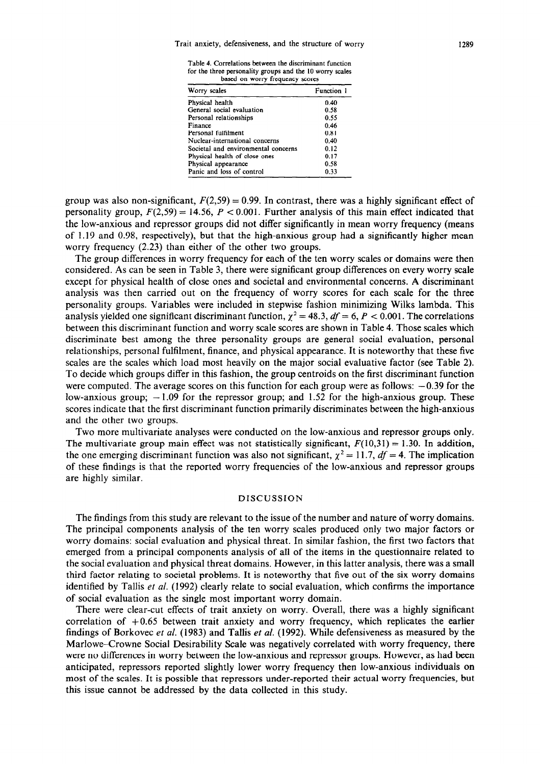Table 4. Correlations between the discriminant function for the three personality groups and the 10 worry scales based on worry frequency scores

| Worry scales                        | Function 1 |
|-------------------------------------|------------|
| Physical health                     | 0.40       |
| General social evaluation           | 0.58       |
| Personal relationships              | 0.55       |
| Finance                             | 0.46       |
| Personal fulfilment                 | 0.81       |
| Nuclear-international concerns      | 0.40       |
| Societal and environmental concerns | 0.12       |
| Physical health of close ones       | 0.17       |
| Physical appearance                 | 0.58       |
| Panic and loss of control           | 0.33       |

group was also non-significant,  $F(2,59) = 0.99$ . In contrast, there was a highly significant effect of personality group,  $F(2,59) = 14.56$ ,  $P < 0.001$ . Further analysis of this main effect indicated that the low-anxious and repressor groups did not differ significantly in mean worry frequency (means of 1.19 and 0.98, respectively), but that the high-anxious group had a significantly higher mean worry frequency (2.23) than either of the other two groups.

The group differences in worry frequency for each of the ten worry scales or domains were then considered. As can be seen in Table 3, there were significant group differences on every worry scale except for physical health of close ones and societal and environmental concerns. A discriminant analysis was then carried out on the frequency of worry scores for each scale for the three personality groups. Variables were included in stepwise fashion minimizing Wilks lambda. This analysis yielded one significant discriminant function,  $\chi^2 = 48.3$ ,  $df = 6$ ,  $P < 0.001$ . The correlations between this discriminant function and worry scale scores are shown in Table 4. Those scales which discriminate best among the three personality groups are general social evaluation, personal relationships, personal fulfilment, finance, and physical appearance. It is noteworthy that these five scales are the scales which load most heavily on the major social evaluative factor (see Table 2). To decide which groups differ in this fashion, the group centroids on the first discriminant function were computed. The average scores on this function for each group were as follows:  $-0.39$  for the low-anxious group;  $-1.09$  for the repressor group; and 1.52 for the high-anxious group. These scores indicate that the first discriminant function primarily discriminates between the high-anxious and the other two groups.

Two more multivariate analyses were conducted on the low-anxious and repressor groups only. The multivariate group main effect was not statistically significant,  $F(10,31) = 1.30$ . In addition, the one emerging discriminant function was also not significant,  $\chi^2 = 11.7$ ,  $df = 4$ . The implication of these findings is that the reported worry frequencies of the low-anxious and repressor groups are highly similar.

## DISCUSSION

The findings from this study are relevant to the issue of the number and nature of worry domains. The principal components analysis of the ten worry scales produced only two major factors or worry domains: social evaluation and physical threat. In similar fashion, the first two factors that emerged from a principal components analysis of all of the items in the questionnaire related to the social evaluation and physical threat domains. However, in this latter analysis, there was a small third factor relating to societal problems. It is noteworthy that five out of the six worry domains identified by Tallis *et al.* (1992) clearly relate to social evaluation, which confirms the importance of social evaluation as the single most important worry domain.

There were clear-cut effects of trait anxiety on worry. Overall, there was a highly significant correlation of  $+0.65$  between trait anxiety and worry frequency, which replicates the earlier findings of Borkovec *et al.* (1983) and Tallis et *al.* (1992). While defensiveness as measured by the Marlowe-Crowne Social Desirability Scale was negatively correlated with worry frequency, there were no differences in worry between the low-anxious and repressor groups. However, as had been anticipated, repressors reported slightly lower worry frequency then low-anxious individuals on most of the scales. It is possible that repressors under-reported their actual worry frequencies, but this issue cannot be addressed by the data collected in this study.